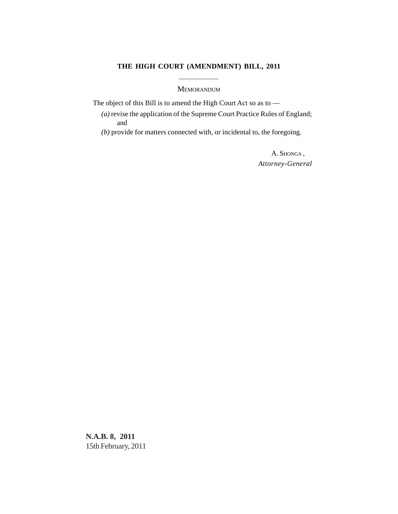## **THE HIGH COURT (AMENDMENT) BILL, 2011**

## MEMORANDUM

The object of this Bill is to amend the High Court Act so as to —

*(a)* revise the application of the Supreme Court Practice Rules of England; and

*(b)* provide for matters connected with, or incidental to, the foregoing.

A. SHONGA , *Attorney-General*

**N.A.B. 8, 2011** 15th February, 2011